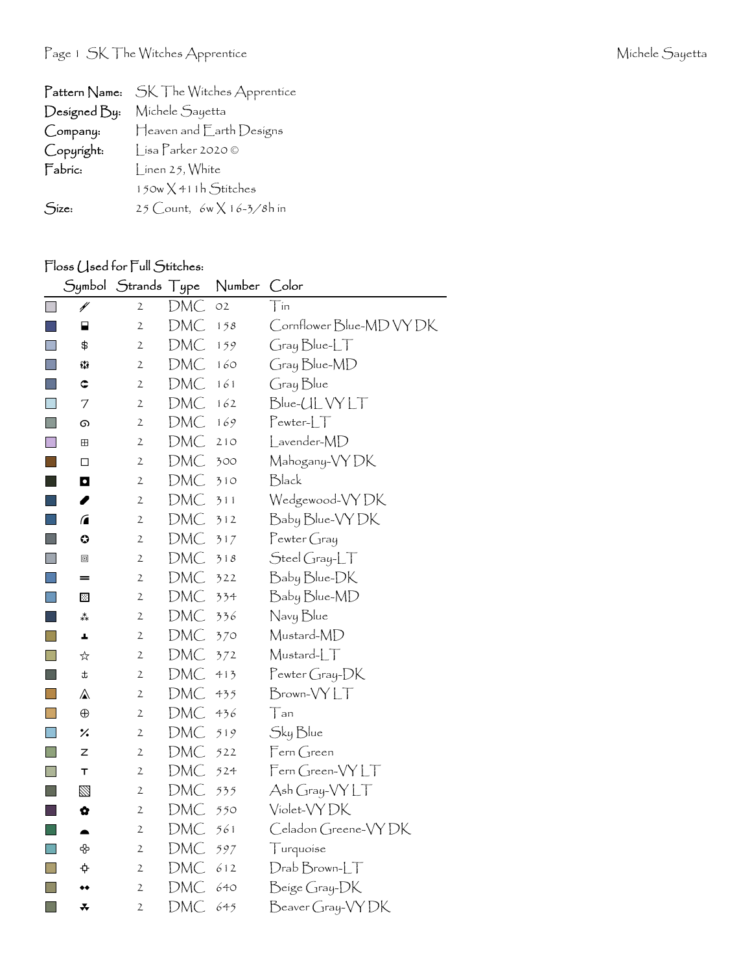| Pattern Name: | SK The Witches Apprentice        |
|---------------|----------------------------------|
| Designed By:  | Michele Sayetta                  |
| Company:      | Heaven and Earth Designs         |
| Copyright:    | Lisa Parker 2020 ©               |
| Fabric:       | Linen 25, White                  |
|               | $150w \times 411h$ Stitches      |
| Size:         | 25 Count, $6w \times 16-3/8h$ in |

## Floss (Jsed for Full Stitches:

|                             | Symbol      | Strands Type   |            | Number | Color                             |
|-----------------------------|-------------|----------------|------------|--------|-----------------------------------|
| $\Box$                      | ¥           | $\overline{2}$ | DMC        | O2     | $\top$ in                         |
|                             | ⊟           | $\mathfrak{2}$ | DMC        | 158    | Cornflower Blue-MD VY DK          |
| $\Box$                      | \$          | $\mathfrak{2}$ | DMC        | 159    | Gray Blue-LT                      |
| $\Box$                      | 53          | $\mathfrak{2}$ | DMC        | 160    | Gray Blue-MD                      |
| $\Box$                      | $\mathbf C$ | $\mathfrak{2}$ | DMC        | 161    | Gray Blue                         |
| $\Box$                      | 7           | $\mathfrak{2}$ | DMC        | 162    | Blue-UL VY LT                     |
| L.                          | ை           | $\mathfrak{2}$ | DMC        | 169    | $Pewter-LT$                       |
|                             | ⊞           | $\mathfrak{2}$ | DMC        | 210    | Lavender-MD                       |
| <b>Service Service</b>      | □           | $\mathfrak{2}$ | DMC        | 300    | Mahogany-VY DK                    |
|                             | O           | $\mathfrak{2}$ | DMC        | 310    | Black                             |
|                             | I           | 2              | DMC        | 311    | Wedgewood-VYDK                    |
|                             | $\sqrt{2}$  | $\mathfrak{2}$ | DMC        | 312    | Baby Blue-VY DK                   |
| $\mathcal{L}_{\mathcal{A}}$ | ⊙           | 2              | DMC        | 317    | $P$ ewter Gray                    |
|                             | $\Box$      | 2              | DMC        | 318    | $\mathcal{S}$ teel Gray-L $\top$  |
| L                           | =           | 2              | DMC        | 322    | Baby Blue-DK                      |
| h.                          | ▩           | $\mathfrak{2}$ | DMC        | 334    | Baby Blue-MD                      |
|                             | ∗*          | $\mathfrak{2}$ | DMC        | 336    | Navy Blue                         |
| $\Box$                      | A,          | 2              | DMC        | 370    | Mustard-MD                        |
|                             | ☆           | 2              | DMC        | 372    | Mustard-LT                        |
| $\Box$                      | t           | $\mathbf{2}$   | DMC        | 413    | Pewter Gray-DK                    |
|                             | ⚠           | $\mathfrak{2}$ | DMC        | 435    | Brown-VYLT                        |
| $\mathbf{I}$                | $\bigoplus$ | 2              | DMC        | 436    | Tan                               |
| $\Box$                      | ٪           | $\mathfrak{2}$ | DMC        | 519    | Sky Blue                          |
| F.                          | z           | 2              | DMC        | 522    | Fern Green                        |
| H                           | Т           | $\mathfrak{2}$ | DMC        | 524    | $F$ ern Green- $\forall Y \bot T$ |
|                             | ⊠           | 2              | DMC        | 535    | Ash Gray-VY LT                    |
| l.                          | ✿           | $\mathfrak{2}$ | DMC        | 550    | Violet-VY DK                      |
|                             |             | $\mathfrak{2}$ | DMC        | 561    | Celadon Greene-VYDK               |
| $\Box$                      | ♧           | 2              | DMC        | 597    | Turquoise                         |
| L                           | ¢           | 2              | DMC        | 612    | $Drab Brown-LT$                   |
| $\Box$                      | ◆◆          | $\mathfrak{2}$ | DMC        | 640    | Beige Gray-DK                     |
| <b>Talling</b>              | ∓           | $\mathfrak{2}$ | <b>DMC</b> | 645    | Beaver Gray-VY DK                 |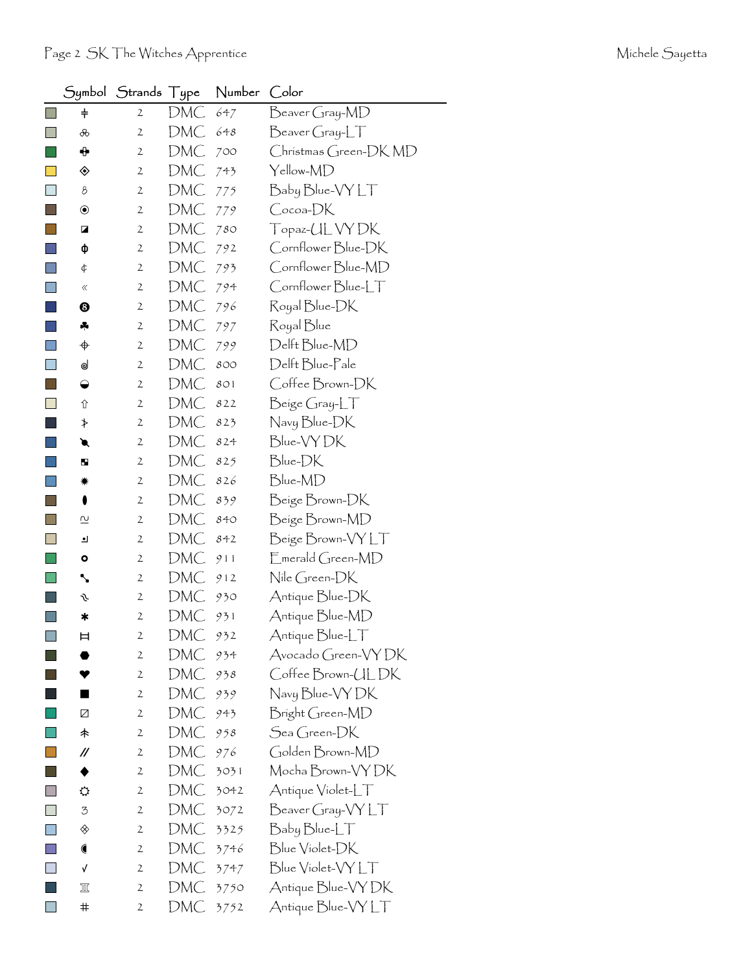|                | Symbol                  | Strands Type   |     | Number | Color                                                                           |
|----------------|-------------------------|----------------|-----|--------|---------------------------------------------------------------------------------|
|                | $\ddagger$              | 2              | DMC | 647    | Beaver Gray-MD                                                                  |
|                | ൿ                       | $\mathbf{2}$   | DMC | 648    | $\frac{B}{C}$ eaver Gray- $LT$                                                  |
|                | ⊕                       | 2              | DMC | 700    | Christmas Green-DK MD                                                           |
|                | ◈                       | $\mathbf{2}$   | DMC | 743    | Yellow-MD                                                                       |
|                | 8                       | 2              | DMC | 775    | Baby Blue-VY LT                                                                 |
|                | $\circledbullet$        | 2              | DMC | 779    | Cocoa-DK                                                                        |
|                | ◪                       | $\mathbf{2}$   | DMC | 780    | Topaz-UL VY DK                                                                  |
|                | ф                       | $\mathbf{2}$   | DMC | 792    | Cornflower Blue-DK                                                              |
|                | ¢                       | 2              | DMC | 793    | Cornflower Blue-MD                                                              |
|                | «                       | 2              | DMC | 794    | Cornflower Blue-LT                                                              |
|                | ❸                       | 2              | DMC | 796    | Royal Blue-DK                                                                   |
|                | 4                       | $\mathbf{2}$   | DMC | 797    | Royal Blue                                                                      |
| F              | ♦                       | 2              | DMC | 799    | Delft Blue-MD                                                                   |
| $\blacksquare$ | ⊌                       | 2              | DMC | 800    | Delft Blue-Pale                                                                 |
| I.             | $\bullet$               | 2              | DMC | 801    | Coffee Brown-DK                                                                 |
| $\Box$         | ⇧                       | 2              | DMC | 822    | Beige Gray-LT                                                                   |
|                | ≯                       | 2              | DMC | 823    | Navy Blue-DK                                                                    |
|                | €                       | 2              | DMC | 824    | Blue-VYDK                                                                       |
|                | ш                       | 2              | DMC | 825    | Blue-DK                                                                         |
|                | ☀                       | 2              | DMC | 826    | Blue-MD                                                                         |
|                | 0                       | $\mathbf{2}$   | DMC | 839    | Beige Brown-DK                                                                  |
|                | $\overline{\mathsf{c}}$ | 2              | DMC | 840    | Beige Brown-MD                                                                  |
|                | ┛                       | $\mathbf{2}$   | DMC | 842    | Beige Brown-VYLT                                                                |
|                | ۰                       | 2              | DMC | 911    | $\mathsf{E}_{\mathsf{merald}$ Green-MD                                          |
|                | ╲                       | 2              | DMC | 912    | Nile Green-DK                                                                   |
|                | s                       | 2              | DMC | 930    | Antique Blue-DK                                                                 |
|                | ∗                       | $\mathfrak{2}$ | DMC | 931    | Antique Blue-MD                                                                 |
| $\Box$         | 曰                       | $\mathfrak{2}$ | DMC | 932    | Antique Blue-LT                                                                 |
|                |                         | $\mathbf{2}$   | DMC | 934    | Avocado Green-VYDK                                                              |
|                |                         | 2              | DMC | 938    | Coffee Brown-ULDK                                                               |
|                |                         | $\mathfrak{2}$ | DMC | 939    | Navy Blue-VY DK                                                                 |
|                | Ø                       | $\mathbf{2}$   | DMC | 943    | Bright Green-MD                                                                 |
|                | 未                       | 2              | DMC | 958    | Sea Green-DK                                                                    |
|                | //                      | $\mathbf{2}$   | DMC | 976    | Golden Brown-MD                                                                 |
|                |                         | $\mathbf{2}$   | DMC | 3031   | Mocha Brown-VY DK                                                               |
|                | ⇔                       | 2              | DMC | 3042   | Antique Violet-LT                                                               |
|                | 3                       | $\mathbf{2}$   | DMC | 3072   | $\mathsf{B}$ eaver Gray- $\mathsf{V}\mathsf{Y} \mathsf{L}\mathsf{T}$            |
| $\Box$         | ◈                       | 2              | DMC | 3325   | $\operatorname{\mathsf{B}}$ aby $\operatorname{\mathsf{Blue}\text{-}\!\sf{LT}}$ |
|                |                         | $\mathbf{2}$   | DMC | 3746   | Blue Violet-DK                                                                  |
|                | √                       | $\mathbf{2}$   | DMC | 3747   | Blue Violet-VY LT                                                               |
|                | π                       | 2              | DMC | 3750   | Antique Blue-VY DK                                                              |
| I.             | $\#$                    | 2              | DMC | 3752   | Antique Blue-VY LT                                                              |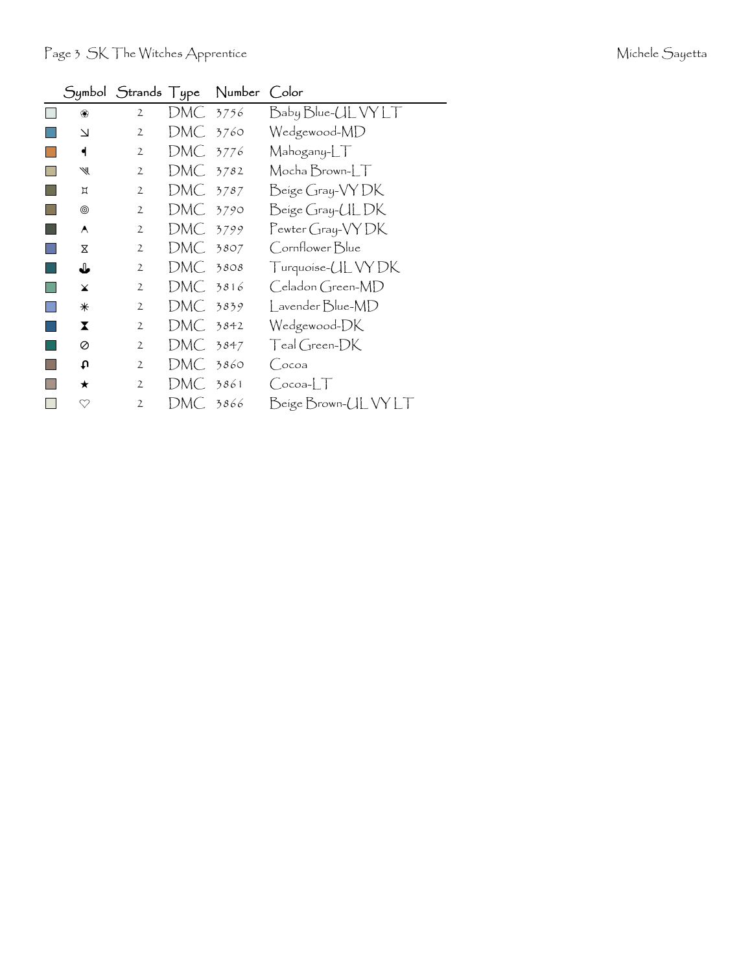|              | Symbol Strands Type |            | Number Color |                                         |
|--------------|---------------------|------------|--------------|-----------------------------------------|
| ❀            | $\mathbf{2}$        | DMC 3756   |              | Baby Blue-UL VY LT                      |
| $\Delta$     | $\mathfrak{2}$      | DMC 3760   |              | Wedgewood-MD                            |
| ◀            | 2                   | DMC 3776   |              | Mahogany-LT                             |
| ₩            | $\mathbf{2}$        | DMC        | 3782         | Mocha Brown-LT                          |
| Д            | $\mathbf{2}$        | DMC 3787   |              | Beige Gray-VY DK                        |
| ◉            | $\mathbf{2}$        | DMC 3790   |              | Beige Gray-ULDK                         |
| A            | 2                   | DMC 3799   |              | Pewter Gray-VY DK                       |
| X            | $\mathfrak{2}$      | DMC -      | 3807         | Cornflower Blue                         |
| ⇓            | $\overline{2}$      | $DMC$ 3808 |              | Turquoise- <i>UL</i> VY DK              |
| $\mathbf x$  | 2                   | DMC 3816   |              | Celadon Green-MD                        |
| ⋇            | $\mathbf{2}$        | DMC        | 3839         | Lavender Blue-MD                        |
| X.           | 2                   | DMC 3842   |              | Wedgewood-DK                            |
| 0            | $\mathbf{2}$        | DMC.       | 3847         | Teal Green-DK                           |
| u            | 2                   | DMC        | 3860         | (Cocoa                                  |
| ★            | $\mathbf{2}$        | DMC 3861   |              | $\bigcirc$ ocoa- $\lfloor \top \rfloor$ |
| $\heartsuit$ | 2                   | DMC        | 3866         | Beige Brown-UL VY LT                    |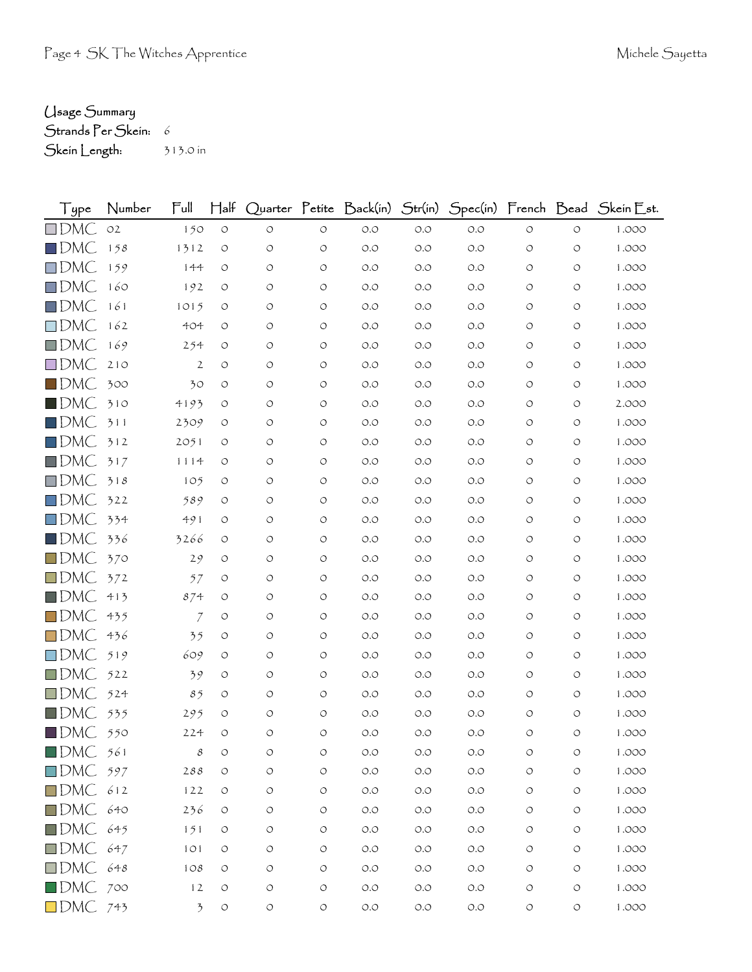## Usage Summary

Strands Per Skein: 6

Skein Length: 313.0 in

| Type                     | Number         | Full                     | $H$ alf            |                    |            |                                      |                                      |       |                    |            | Quarter Petite Back(in) Str(in) Spec(in) French Bead Skein Est. |
|--------------------------|----------------|--------------------------|--------------------|--------------------|------------|--------------------------------------|--------------------------------------|-------|--------------------|------------|-----------------------------------------------------------------|
| $\square$ DMC            | O <sub>2</sub> | 150                      | $\bigcirc$         | $\circlearrowleft$ | $\bigcirc$ | $O.O$                                | $O.O$                                | $O.O$ | $\bigcirc$         | $\circ$    | 1.000                                                           |
| $\square$ DMC            | 158            | 1312                     | $\circ$            | O                  | $\circ$    | O.O                                  | O.O                                  | O.O   | $\circlearrowleft$ | $\circ$    | 1.000                                                           |
| $\square$ DMC            | 159            | 144                      | O                  | O                  | $\circ$    | O.O                                  | O.O                                  | O.O   | O                  | O          | 1.000                                                           |
| $\square$ DMC            | 160            | 192                      | $\circ$            | O                  | $\circ$    | O.O                                  | O.O                                  | O.O   | O                  | O          | 1.000                                                           |
| $\square$ DMC            | 161            | 1015                     | O                  | O                  | $\circ$    | O.O                                  | O.O                                  | O.O   | O                  | O          | 1.000                                                           |
| $\square$ DMC            | 162            | 404                      | O                  | $\circ$            | $\circ$    | O.O                                  | O.O                                  | O.O   | $\circ$            | O          | 1.000                                                           |
| $\square$ DMC            | 169            | 254                      | O                  | O                  | $\circ$    | O.O                                  | O.O                                  | O.O   | O                  | $\circ$    | 1.000                                                           |
| $\square$ DMC            | 210            | $\mathbf{2}$             | $\circ$            | O                  | $\circ$    | O.O                                  | O.O                                  | O.O   | $\circ$            | O          | 1.000                                                           |
| $\blacksquare$ DMC       | 300            | 30                       | O                  | $\circ$            | $\bigcirc$ | O.O                                  | O.O                                  | O.O   | $\circ$            | O          | 1.000                                                           |
| $\blacksquare$ DMC       | 310            | 4193                     | O                  | O                  | $\circ$    | O.O                                  | O.O                                  | O.O   | O                  | $\circ$    | 2.000                                                           |
| $\square$ DMC            | 311            | 2309                     | O                  | O                  | $\circ$    | O.O                                  | O.O                                  | O.O   | $\circ$            | O          | 1.000                                                           |
| $\square$ DMC            | 312            | 2051                     | O                  | $\circ$            | $\circ$    | O.O                                  | O.O                                  | O.O   | $\circ$            | $\circ$    | 1.000                                                           |
| $\square$ DMC            | 317            | 1114                     | $\circ$            | O                  | $\circ$    | O.O                                  | O.O                                  | O.O   | $\circ$            | $\circ$    | 1.000                                                           |
| $\square$ DMC            | 318            | 105                      | O                  | O                  | $\circ$    | O.O                                  | O.O                                  | O.O   | O                  | O          | 1.000                                                           |
| $\square$ DMC            | 322            | 589                      | O                  | $\circ$            | $\circ$    | O.O                                  | O.O                                  | O.O   | $\circ$            | $\circ$    | 1.000                                                           |
| $\square$ DMC            | 334            | 491                      | O                  | O                  | O          | O.O                                  | O.O                                  | O.O   | $\circ$            | O          | 1.000                                                           |
| $\blacksquare$ DMC       | 336            | 3266                     | $\circ$            | O                  | $\circ$    | O.O                                  | O.O                                  | O.O   | $\circ$            | $\circ$    | 1.000                                                           |
| $\square$ DMC            | 370            | 29                       | O                  | O                  | $\circ$    | O.O                                  | O.O                                  | O.O   | $\circ$            | $\circ$    | 1.000                                                           |
| $\square$ DMC            | 372            | 57                       | O                  | O                  | $\circ$    | O.O                                  | O.O                                  | O.O   | $\circ$            | O          | 1.000                                                           |
| $\square$ DMC            | 413            | 874                      | O                  | O                  | $\circ$    | O.O                                  | O.O                                  | O.O   | $\circ$            | $\circ$    | 1.000                                                           |
| $\square$ DMC            | 435            | $\mathcal I$             | $\circ$            | O                  | $\circ$    | O.O                                  | O.O                                  | O.O   | $\circ$            | $\circ$    | 1.000                                                           |
| $\square$ DMC            | 436            | 35                       | O                  | O                  | $\circ$    | O.O                                  | O.O                                  | O.O   | $\circ$            | O          | 1.000                                                           |
| $\square$ DMC            | 519            | 609                      | $\circ$            | O                  | $\circ$    | O.O                                  | O.O                                  | O.O   | $\circ$            | $\circ$    | 1.000                                                           |
| $\square$ DMC            | 522            | 39                       | O                  | O                  | $\circ$    | O.O                                  | O.O                                  | O.O   | $\circ$            | O          | 1.000                                                           |
| $\square$ DMC            | 524            | 85                       | O                  | $\circ$            | $\circ$    | O.O                                  | O.O                                  | O.O   | O                  | $\circ$    | 1.000                                                           |
| $\blacksquare$ DMC       | 535            | 295                      | O                  | O                  | $\circ$    | O.O                                  | O.O                                  | O.O   | O                  | $\circ$    | 1.000                                                           |
| $\blacksquare$ DMC       | 550            | 224                      | $\circ$            | $\circ$            | $\circ$    | $O.O$                                | O.O                                  | O.O   | $\circlearrowleft$ | O          | 1.000                                                           |
| $\blacksquare$ DMC $561$ |                | $\mathcal S$             | O                  | O                  | O          | $O.O$                                | $\circlearrowleft.\circlearrowright$ | O.O   | O                  | O          | 1.000                                                           |
| $\Box$ DMC 597           |                | 288                      | $\circlearrowleft$ | $\circlearrowleft$ | $\circ$    | $O.O$                                | $O.O$                                | $O.O$ | $\circlearrowleft$ | $\bigcirc$ | 1.000                                                           |
| $\Box$ DMC 612           |                | 122                      | $\circ$            | O                  | $\circ$    | $O.O$                                | $O.O$                                | $O.O$ | $\bigcirc$         | $\circ$    | 1.000                                                           |
| $\Box$ DMC 640           |                | 236                      | $\circ$            | O                  | $\circ$    | $O.O$                                | $O.O$                                | $O.O$ | $\circ$            | $\circ$    | 1.000                                                           |
| DMC 645                  |                | 151                      | $\circ$            | O                  | $\circ$    | $\circlearrowleft.\circlearrowright$ | O.O                                  | $O.O$ | $\circ$            | $\circ$    | 1.000                                                           |
| $\Box$ DMC 647           |                | 101                      | $\circ$            | $\circlearrowleft$ | $\bigcirc$ | $O.O$                                | $O.O$                                | $O.O$ | $\circlearrowleft$ | O          | 1.000                                                           |
| $\Box$ DMC 648           |                | 108                      | $\circ$            | O                  | $\circ$    | $\circlearrowleft.\circlearrowright$ | $O.O$                                | $O.O$ | $\circ$            | $\bigcirc$ | 1.000                                                           |
| $\blacksquare$ DMC 700   |                | 12                       | $\circlearrowleft$ | O                  | $\circ$    | $O.O$                                | $O.O$                                | O.O   | $\circlearrowleft$ | $\bigcirc$ | 1.000                                                           |
| $\Box$ DMC 743           |                | $\overline{\mathcal{F}}$ | $\circlearrowleft$ | $\circlearrowleft$ | $\circ$    | O.O                                  | $O.O$                                | $O.O$ | $\circlearrowleft$ | $\bigcirc$ | 1.000                                                           |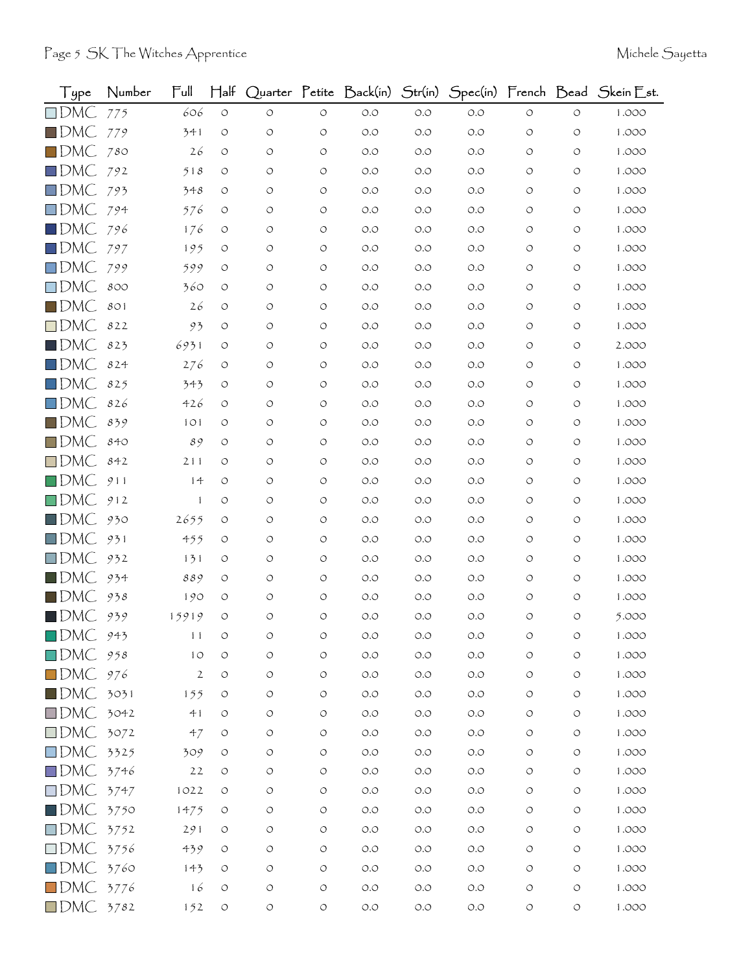| Type                    | Number | $\mathsf{Full}$ | $\mathsf{H\!}\mathrm{aff}$ |                    |                    | Quarter Petite Back(in) | Str(in) |       |                    |                    | Spec(in) French Bead Skein Est. |
|-------------------------|--------|-----------------|----------------------------|--------------------|--------------------|-------------------------|---------|-------|--------------------|--------------------|---------------------------------|
| $\square$ DMC           | 775    | 606             | $\circlearrowleft$         | $\circ$            | $\circlearrowleft$ | $O.O$                   | $O.O$   | O.O   | $\circlearrowleft$ | $\circ$            | 1.000                           |
| $\blacksquare$ DMC      | 779    | 341             | $\circ$                    | O                  | $\circ$            | O.O                     | O.O     | O.O   | $\circ$            | $\circ$            | 1.000                           |
| $\square$ DMC           | 780    | 26              | $\circlearrowleft$         | $\circ$            | $\circlearrowleft$ | $O.O$                   | O.O     | O.O   | O                  | $\circ$            | 1.000                           |
| $\square$ DMC           | 792    | 518             | O                          | O                  | $\circ$            | O.O                     | O.O     | O.O   | O                  | O                  | 1.000                           |
| $\square$ DMC           | 793    | 348             | $\circ$                    | O                  | $\circ$            | $O.O$                   | O.O     | O.O   | O                  | O                  | 1.000                           |
| $\square$ DMC           | 794    | 576             | $\circ$                    | $\circ$            | $\circ$            | O.O                     | O.O     | O.O   | $\circ$            | $\circ$            | 1.000                           |
| $\square$ DMC           | 796    | 176             | $\circ$                    | O                  | $\circ$            | O.O                     | O.O     | O.O   | O                  | $\circ$            | 1.000                           |
| $\square$ DMC           | 797    | 195             | O                          | O                  | $\circ$            | O.O                     | O.O     | O.O   | O                  | O                  | 1.000                           |
| $\square$ DMC           | 799    | 599             | O                          | $\circ$            | $\circ$            | $O.O$                   | O.O     | O.O   | $\circ$            | $\circ$            | 1.000                           |
| $\square$ DMC           | 800    | 360             | $\circ$                    | O                  | $\circ$            | O.O                     | O.O     | O.O   | O                  | $\circ$            | 1.000                           |
| $\blacksquare$ DMC      | 801    | 26              | O                          | O                  | $\circ$            | $O.O$                   | O.O     | O.O   | O                  | O                  | 1.000                           |
| $\square$ DMC           | 822    | 93              | O                          | O                  | $\circ$            | O.O                     | O.O     | O.O   | $\circ$            | $\circ$            | 1.000                           |
| $\blacksquare$ DMC      | 823    | 6931            | O                          | O                  | $\circ$            | O.O                     | O.O     | O.O   | O                  | O                  | 2.000                           |
| $\square$ DMC           | 824    | 276             | $\circ$                    | $\circ$            | $\circ$            | O.O                     | O.O     | O.O   | $\circ$            | $\circ$            | 1.000                           |
| $\square$ DMC           | 825    | 343             | $\circ$                    | O                  | $\circ$            | O.O                     | O.O     | O.O   | O                  | $\circ$            | 1.000                           |
| $\square$ DMC           | 826    | 426             | O                          | O                  | $\circ$            | O.O                     | O.O     | O.O   | O                  | O                  | 1.000                           |
| $\blacksquare$ DMC      | 839    | 101             | O                          | $\circ$            | $\circ$            | $O.O$                   | O.O     | O.O   | $\circ$            | $\circ$            | 1.000                           |
| $\square$ DMC           | 840    | 89              | O                          | O                  | $\circ$            | $O.O$                   | O.O     | O.O   | O                  | $\circ$            | 1.000                           |
| $\square$ DMC           | 842    | 211             | O                          | O                  | O                  | O.O                     | O.O     | O.O   | O                  | O                  | 1.000                           |
| $\square$ DMC           | 911    | 14              | O                          | O                  | $\circ$            | $O.O$                   | O.O     | O.O   | O                  | O                  | 1.000                           |
| $\square$ DMC           | 912    | $\mathbf{1}$    | O                          | O                  | $\circ$            | $O.O$                   | O.O     | O.O   | O                  | $\circ$            | 1.000                           |
| $\square$ DMC           | 930    | 2655            | $\circ$                    | O                  | $\circ$            | O.O                     | O.O     | O.O   | O                  | $\circ$            | 1.000                           |
| $\square$ DMC           | 931    | 455             | $\circ$                    | O                  | $\circ$            | O.O                     | O.O     | O.O   | O                  | $\circ$            | 1.000                           |
| $\square$ DMC           | 932    | 131             | $\circ$                    | O                  | $\circ$            | O.O                     | O.O     | O.O   | O                  | O                  | 1.000                           |
| $\blacksquare$ DMC      | 934    | 889             | O                          | O                  | $\circ$            | O.O                     | O.O     | O.O   | $\circ$            | O                  | 1.000                           |
| $\blacksquare$ DMC      | 938    | 190             | O                          | O                  | $\circ$            | O.O                     | O.O     | O.O   | O                  | $\circ$            | 1.000                           |
| $\blacksquare$ DMC      | 939    | 15919           | O                          | $\circ$            | $\circ$            | O.O                     | O.O     | O.O   | O                  | $\circ$            | 5.000                           |
| $\blacksquare$ DMC      | 943    | 11              | O                          | O                  | O                  | O.O                     | O.O     | O.O   | O                  | O                  | 1.000                           |
| DMC 958                 |        | 10              | $\circ$                    | $\circ$            | $\circlearrowleft$ | $O.O$                   | O.O     | O.O   | O                  | O                  | 1.000                           |
| $\square$ DMC           | 976    | $\sqrt{2}$      | $\circlearrowleft$         | $\circlearrowleft$ | $\circlearrowleft$ | $O.O$                   | $O.O$   | $O.O$ | O                  | $\circlearrowleft$ | 1.000                           |
| $\blacksquare$ DMC      | 3031   | 155             | O                          | $\circ$            | $\circ$            | O.O                     | O.O     | O.O   | O                  | $\circlearrowleft$ | 1.000                           |
| $\square$ DMC           | 3042   | 41              | O                          | O                  | $\circlearrowleft$ | $O.O$                   | O.O     | $O.O$ | O                  | O                  | 1.000                           |
| $\square$ DMC           | 3072   | 47              | $\circ$                    | $\circ$            | $\circlearrowleft$ | $O.O$                   | O.O     | O.O   | O                  | O                  | 1.000                           |
| $\square$ DMC           | 3325   | 309             | $\circ$                    | O                  | $\circlearrowleft$ | $O.O$                   | $O.O$   | O.O   | O                  | O                  | 1.000                           |
| $\square$ DMC           | 3746   | 22              | $\circ$                    | $\circ$            | $\circ$            | $O.O$                   | O.O     | $O.O$ | O                  | $\circ$            | 1.000                           |
| $\Box$ DMC 3747         |        | 1022            | $\circ$                    | $\circ$            | $\circlearrowleft$ | $O.O$                   | $O.O$   | $O.O$ | O                  | O                  | 1.000                           |
| $\square$ DMC           | 3750   | 1475            | $\circ$                    | O                  | $\circ$            | $O.O$                   | $O.O$   | O.O   | O                  | $\circ$            | 1.000                           |
| $\square$ DMC           | 3752   | 291             | $\circ$                    | O                  | $\circ$            | $O.O$                   | $O.O$   | $O.O$ | O                  | O                  | 1.000                           |
| $\square$ DMC           | 3756   | 439             | $\circ$                    | $\circ$            | $\circ$            | $O.O$                   | $O.O$   | O.O   | $\circ$            | $\circ$            | 1.000                           |
| $\square$ DMC           | 3760   | 143             | $\circ$                    | O                  | $\circ$            | $O.O$                   | $O.O$   | $O.O$ | O                  | $\circ$            | 1.000                           |
| $\blacksquare$ DMC 3776 |        | 16              | $\circ$                    | $\circlearrowleft$ | $\circlearrowleft$ | $O.O$                   | $O.O$   | O.O   | $\circlearrowleft$ | $\circlearrowleft$ | 1.000                           |
| $\Box$ DMC 3782         |        | 152             | $\circlearrowleft$         | $\circlearrowleft$ | $\circlearrowleft$ | O.O                     | $O.O$   | O.O   | $\circlearrowleft$ | $\bigcirc$         | 1.000                           |